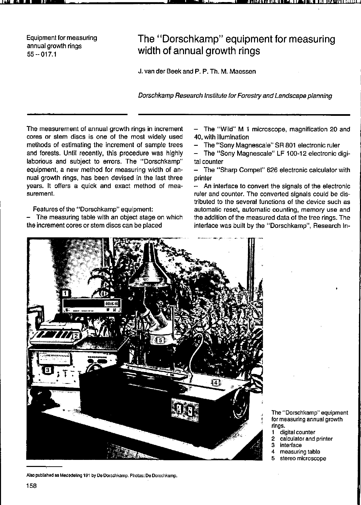Equipment for measuring annual growth rings 55--017.1

# **The "Dorschkamp" equipment tor measuring width ot annual growth rings**

J. van der Beek and P. P. Th. M. Maessen

Dorschkamp Research Institute for Forestry and Landscape planning

The measurement of annual growth rings in increment cores or stem discs is one of the most widely used methods of estimating the increment of sample trees and forests. Until recently, this procedure was highly laborious and subject to errors. The "Dorschkamp" equipment, a new method for measuring width of annual growth rings, has been devised in the last three years. It offers a quick and exact method of mea**surement,** 

Features of the "Dorschkamp" equipment:

The measuring table with an object stage on which the increment cores or stem discs can be placed

- The "Wild" M 1 microscope, magnification 20 and 40, with iIIumination

The "Sony Magnescale" SR 801 electronic ruler

**" '\_Ulglll'"!liJ 11 .... , J 1.,11 , III "flll'I III IIII I** 

The "Sony Magnescale" LF 100-12 electronic digital counter

- The "Sharp Compet" 626 electronic calculator with printer

 $-$  An interface to convert the signals of the electronic ruler and counter. The converted signals could be distributed to the several functions of the device such as automatic reset, automatic counting, memory use and the addition of the measured data of the tree rings. The interiace was built by the "Dorschkamp", Research In-



Also published as Mededeling 191 by De Dorschkamp, Photos: De Dorschkamp.

**The "Dorschkamp" equipment for measuring annual growth rings.** 

- **1 digital counter**
- **2 calculator and printer**
- **3 interface**
- **4 measuring table**
- **5 stereo microscope**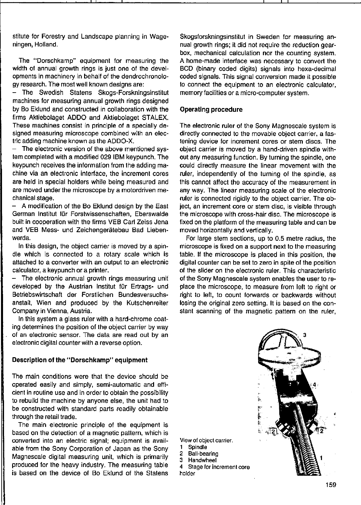stitute for Forestry and Landscape planning in Wageningen, Holland.

The "Dorschkamp" equipment for measuring the width of annual growth rings is just one of the developments in machinery in behall of the dendrochronology research. The most weil known designs are:

The Swedish Statens Skogs-Forskningsinstitut machines for measuring annual growth rings designed by Bo Eklund and constructed in collaboration with the firms Aktiebolaget ADDO and Aktiebolaget STALEX. These machines consist in principle of a specially de**signed measuring microscope combined with an elec**tric adding machine known as Ihe ADDO-X.

The electronic version of the above mentioned system completed with a modified 029 IBM keypunch. The keypunch receives the information from the adding machine via an electronic interface, the increment cores are held in special holders while being measured and are moved under the microscope by a motordriven mechanical stage.

A modification of the Bo Eklund design by the East German Institut für Forstwissenschaften, Eberswalde built in cooperation with the firms VEB Carl Zeiss Jena and VEB Mess- und Zeichengerätebau Bad Liebenwerda.

In this design, the object carrier is moved by a spindie which is connected to a rotary scale which is attached to a converter with an output to an electronic calculator, a keypunch or a printer.

The electronic annual growth rings measuring unit developed by the Austrian Instilut für Ertrags- und Betriebswirtschaft der Forstlichen Bundesversuchsanstalt, Wien and produced by the Kutschenreiter Company in Vienna, Austria.

In this system a glass ruler with a hard-chrome coating determines the position of the object carrier by way of an electronic sensor. The data are read out by an electronic digital counter with a reverse option.

#### Description of the "Dorschkamp" equipment

The main conditions were that the device should be operated easily and simply, semi-automatic and efficient in routine use and in order 10 obtain the possibility to rebuild the machine by anyone else, the unit had to be constructed with standard parts readily obtainable through the retail trade.

The main electronic principle of the equipment is based on the detection of a magnetic paltern, which is converted into an electric signal; equipment is available from the Sony Corporation of Japan as the Sony Magnescale digital measuring unit, which is primarily produced for the heavy industry. The measuring table is based on the device of Bo Eklund of the Statens Skogsforskningsinstitut in Sweden for measuring annual growth rings; it did not require the reduction gearbox, mechanical calculation nor the counting system. **A home-made interface was necessary to convert the**  BCD (binary coded digits) signals into hexa-decimal coded signais. This signal conversion made it possible to connect the equipment to an electronic calculator, memory facilities or a micro-computer system.

#### Operating procedure

The electronic ruler of the Sony Magnescale system is directly connected to the movable object carrier, a fas**tening device for increment cores or stem discs. The**  object carrier is moved by a hand-driven spindie without any measuring function. By turning the spindle, one could directly measure the Iinear movement with the ruler, independently of the tuming of the spindie. as this cannot affect the accuracy of the measurement in any way. The linear measuring scale of the electronic ruler is connected rigidly to the object carrier. The ob**ject, an increment core or stem disc, is visible through**  the microscope with cross-hair disc. The microscope is fixed on the platform of the measuring table and can be moved horizontally and vertically.

For large stem sections, up to 0.5 metre radius, the microscope is fixed on a support next to the measuring table. If the microscope is placed in this position, the digital counter can be set to zero in spite of the position of the slider on the electronic ruler. This characteristic of the Sony Magnescale system enables the user to replace the microscope, to measure from left to right or right to left, to count forwards or backwards without losing the original zero setting. It is based on the constant scanning of the magnetic pattern on the ruler,



**View of object carrier.** 

- **1 SpindIe**
- **2 Ball-bearing**
- 3 Handwheel<br>4 Stage for ing

**4 Stage for increment core**  holder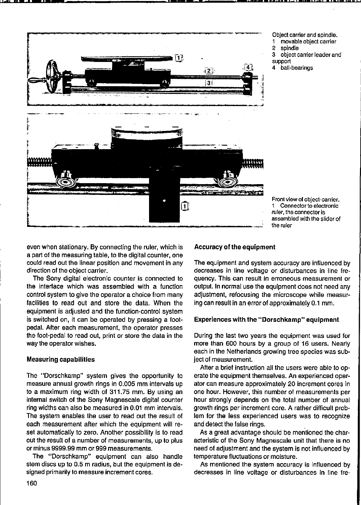

**Object carrier and spindie. 1 movable object carrier**  2 spindle<br>3 object c **3 object carrier leader and support** 

**\_"\_'-." " .. , d"""""" ,"""'"",. ,** 

**4 ball-bearings** 

**Front view of Object-carrier. 1 Connector to electronic ruler, the connector is assembied wlth Ihe slider of Ihe ruler** 

even when stationary. By connecting the ruler, which is a part of the measuring table, to the digital counter, one could read out the linear position and movement in any direction of the object carrier.

The Sony digital electronic counter is connected to the interface which was assembled with a function control system to give the operator a choice from many facilities to read out and store the data. When the equipment is adjusted and the function-control system is switched on, it can be operated by pressing a footpedal. After each measurement, the operator presses the foot-pedal to read out, print or store the data in the way the operator wishes.

## Measuring capabilities

The "Dorschkamp" system gives the opportunity to measure annual growth rings in 0.005 mm intervals up to a maximum ring width of 311.75 mm. By using an internal switch of the Sony Magnescale digital counter ring widths can also be measured in 0.D1 mm intervals. The system enables the user to read out the result of each measurement after which the equipment will reset automatically to zero. Another possibility is to read out the result of a number of measurements, up to plus or minus 9999.99 mm or 999 measurements.

The "Dorschkamp" equipment can also handle stem discs up to 0.5 m radius, but the equipment is designed primarily to measure increment cores.

## Accuracy of the equipment

The equipment and system accuracy are inlluenced by **decreases in line voltage or disturbances in line trequency. This can result in erroneous measurement or**  output. In normal use the equipment does not need any adjustment, refocusing the microscope while measuring can result in an error of approximately 0.1 mm.

### Experiences with the "Dorschkamp" equipment

During the last two years the equipment was used for more than 600 hours by a group of 16 users. Nearly each in the Netherlands growing tree species was subject of measurement.

After a brief instruction all the users were able to operate the equipment themselves. An experienced operator can measure approximately 20 increment cores in one hour. However, this number of measurements per hour strongly depends on the total number of annual growth rings per increment care. A rather difficult problem for the less experienced users was to recognize and detect the false rings.

As a great advantage should be mentioned the characteristic of the Sony Magnescale unit that there is no need of adjustment and the system is not influenced by temperature fluctuations or moisture.

As mentioned the system accuracy is inlluenced by decreases in line voltage or disturbances in line fre-

**,' •• liP '\_ ••**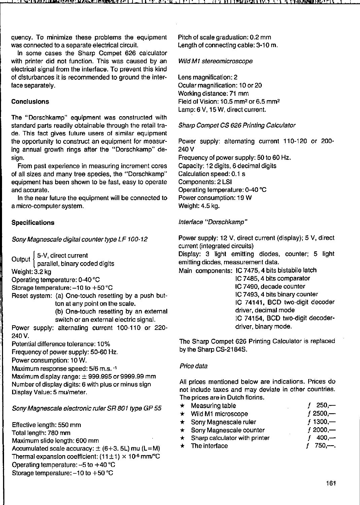quency. To minimize these problems the equipment was connected to a separate electrical circuit.

In some cases the Sharp Compet 626 calculator with printer did not function. This was caused by an electrical signal from the interface. To prevent this kind of disturbances it is recommended to ground the interface separately.

## **Conclusions**

The "Dorschkamp" equipment was constructed with standard parts readily obtainable through the retail trade. This fact gives future users of similar equipment the opportunity to construct an equipment for measuring annual growth rings after the "Dorschkamp" design.

**From past experience in measuring increment cores**  of all sizes and many tree species, the "Dorschkamp" equipment has been shown to be fast, easy to operate **and accurate.** 

In the near future the equipment will be connected to a micro-computer system.

#### Specifications

Sony Magnescale digital counter type LF 100-12

 $_{\bigcap \mathsf{utext}}$  l 5-V, direct current ruallel, binary coded digits Weight: 3.2 kg Operating temperature: 0-40 °C Storage temperature:  $-10$  to  $+50$  °C Reset system: (a) One-touch resetting by a push but-

ton at any point on the scale.

(b) One-touch resetting by an extemal switch or an extemal electric signal.

Power supply: altemating current 100-110 or 220- 240V.

Potential difterence tolerance: 10% Frequencyof power supply: 50-60 Hz.

Power consumption: 10 W.

Maximum response speed: 5/6 m.s.  $-1$ 

Maximum display range: ± 999.995 or 9999.99 mm Number of display digits: 6 with plus or minus sign Display Value: 5 mu/meter.

Sony Magnescale electronic ruler SR 801 type GP 55

Eftective length: 550 mm

Totallength: 780 mm

Maximum slide length: 600 mm

Accumulated scale accuracy:  $\pm$  (6+3. 5L) mu (L=M) Thermal expansion coefficient:  $(11±1) \times 10^{.6}$  mm/°C Operating temperature:  $-5$  to  $+40$  °C Storage temperature:  $-10$  to  $+50$  °C

Pitch of scale graduation: 0.2 mm Length of connecting cabie: 3-10 m.

#### Wild MI stereomicroscope

Lens magnification: 2 Ocular magnification: 10 or 20 Working distance: 71 mm Field of Vision: 10.5 mm<sup>2</sup> or 6.5 mm<sup>2</sup> Lamp: 6 V, 15 W, direct current.

#### Sharp Compet CS 626 Printing Calculator

Power supply: altemating current 110-120 or 200- 240 V Frequency of power supply: 50 to 60 Hz. Capacity: 12 digits, 6 decimal digits Calculation speed: 0.1 s Components: 2 LSI Operating temperature: 0-40 °C Power consumption: 19 W Weight: 4.5 kg.

## Interface "Dorschkamp"

Power supply: 12 V, direct current (display); 5 V, direct current (integrated circuits) Display: 3 light emitting diodes, counter; 5 light emitting diodes, measurement data. Main components: IC 7475, 4 bits bistabile latch IC 7485, 4 bits comparator IC 7490, decade counter IC 7493, 4 bits binary counter IC 74141, BCD two-digit decoder driver, decimal mode

IC 74154, BCD two-digit decoderdriver, binary mode.

The Sharp Compet 626 Printing Calculator is replaced by the Sharp CS-2184S.

#### Price data

All prices mentioned below are indications. Prices do **not include taxes and may deviate in other countries.** 

| The prices are in Dutch florins.      |             |
|---------------------------------------|-------------|
| $\star$ Measuring table               | $f = 250 -$ |
| $\star$ Wild M1 microscope            | $f2500 -$   |
| $\star$ Sony Magnescale ruler         | $f$ 1300,—  |
| $\star$ Sony Magnescale counter       | $f2000 -$   |
| $\star$ Sharp calculator with printer | $400 -$     |
| $\star$ The interface                 | $f$ 750.—   |
|                                       |             |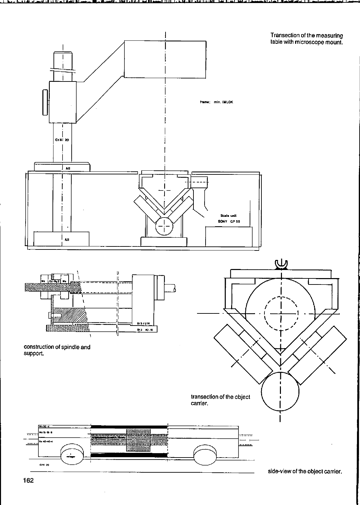

side-view of the object carrier.

 $\bar{z}$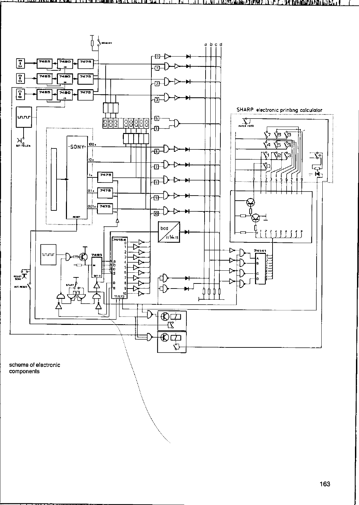